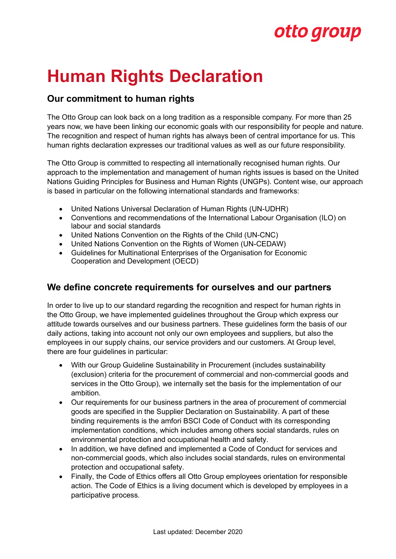# otto group

# **Human Rights Declaration**

### **Our commitment to human rights**

The Otto Group can look back on a long tradition as a responsible company. For more than 25 years now, we have been linking our economic goals with our responsibility for people and nature. The recognition and respect of human rights has always been of central importance for us. This human rights declaration expresses our traditional values as well as our future responsibility.

The Otto Group is committed to respecting all internationally recognised human rights. Our approach to the implementation and management of human rights issues is based on the United Nations Guiding Principles for Business and Human Rights (UNGPs). Content wise, our approach is based in particular on the following international standards and frameworks:

- United Nations Universal Declaration of Human Rights (UN-UDHR)
- Conventions and recommendations of the International Labour Organisation (ILO) on labour and social standards
- United Nations Convention on the Rights of the Child (UN-CNC)
- United Nations Convention on the Rights of Women (UN-CEDAW)
- Guidelines for Multinational Enterprises of the Organisation for Economic Cooperation and Development (OECD)

#### **We define concrete requirements for ourselves and our partners**

In order to live up to our standard regarding the recognition and respect for human rights in the Otto Group, we have implemented guidelines throughout the Group which express our attitude towards ourselves and our business partners. These guidelines form the basis of our daily actions, taking into account not only our own employees and suppliers, but also the employees in our supply chains, our service providers and our customers. At Group level, there are four guidelines in particular:

- With our Group Guideline Sustainability in Procurement (includes sustainability (exclusion) criteria for the procurement of commercial and non-commercial goods and services in the Otto Group), we internally set the basis for the implementation of our ambition.
- Our requirements for our business partners in the area of procurement of commercial goods are specified in the Supplier Declaration on Sustainability. A part of these binding requirements is the amfori BSCI [Code of Conduct with its corresponding](https://www.amfori.org/node/223/field_resource_language/english-4/field_resource_type/code-conduct-119)  [implementation conditions,](https://www.amfori.org/node/223/field_resource_language/english-4/field_resource_type/code-conduct-119) which includes among others social standards, rules on environmental protection and occupational health and safety.
- In addition, we have defined and implemented a [Code of Conduct for services and](https://static.ottogroup.com/media/docs/de/CoC/Otto_Group_CoC_Dienstleistungen_Non-HaWa_2012_2.pdf)  [non-commercial goods,](https://static.ottogroup.com/media/docs/de/CoC/Otto_Group_CoC_Dienstleistungen_Non-HaWa_2012_2.pdf) which also includes social standards, rules on environmental protection and occupational safety.
- Finally, the Code of Ethics offers all Otto Group employees orientation for responsible action. The Code of Ethics is a living document which is developed by employees in a participative process.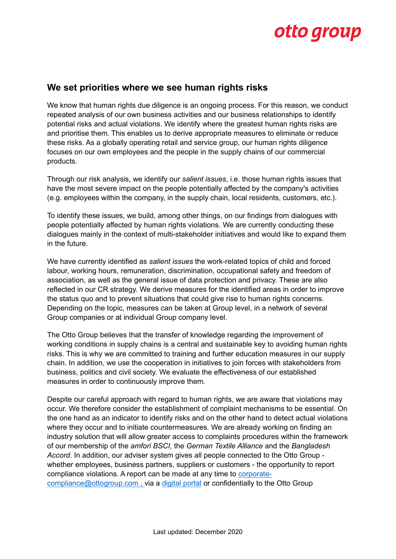### otto group

#### **We set priorities where we see human rights risks**

We know that human rights due diligence is an ongoing process. For this reason, we conduct repeated analysis of our own business activities and our business relationships to identify potential risks and actual violations. We identify where the greatest human rights risks are and prioritise them. This enables us to derive appropriate measures to eliminate or reduce these risks. As a globally operating retail and service group, our human rights diligence focuses on our own employees and the people in the supply chains of our commercial products.

Through our risk analysis, we identify our *salient issues*, i.e. those human rights issues that have the most severe impact on the people potentially affected by the company's activities (e.g. employees within the company, in the supply chain, local residents, customers, etc.).

To identify these issues, we build, among other things, on our findings from dialogues with people potentially affected by human rights violations. We are currently conducting these dialogues mainly in the context of multi-stakeholder initiatives and would like to expand them in the future.

We have currently identified as *salient issues* the work-related topics of child and forced labour, working hours, remuneration, discrimination, occupational safety and freedom of association, as well as the general issue of data protection and privacy. These are also reflected in our CR strategy. We derive measures for the identified areas in order to improve the status quo and to prevent situations that could give rise to human rights concerns. Depending on the topic, measures can be taken at Group level, in a network of several Group companies or at individual Group company level.

The Otto Group believes that the transfer of knowledge regarding the improvement of working conditions in supply chains is a central and sustainable key to avoiding human rights risks. This is why we are committed to training and further education measures in our supply chain. In addition, we use the cooperation in initiatives to join forces with stakeholders from business, politics and civil society. We evaluate the effectiveness of our established measures in order to continuously improve them.

Despite our careful approach with regard to human rights, we are aware that violations may occur. We therefore consider the establishment of complaint mechanisms to be essential. On the one hand as an indicator to identify risks and on the other hand to detect actual violations where they occur and to initiate countermeasures. We are already working on finding an industry solution that will allow greater access to complaints procedures within the framework of our membership of the *amfori BSCI*, the *German Textile Alliance* and the *Bangladesh Accord*. In addition, our adviser system gives all people connected to the Otto Group whether employees, business partners, suppliers or customers - the opportunity to report compliance violations. A report can be made at any time to [corporate](mailto:corporate-compliance@ottogroup.com)[compliance@ottogroup.com ,](mailto:corporate-compliance@ottogroup.com) via a [digital portal](https://www.bkms-system.com/ottogroup-speakup) or confidentially to the Otto Group